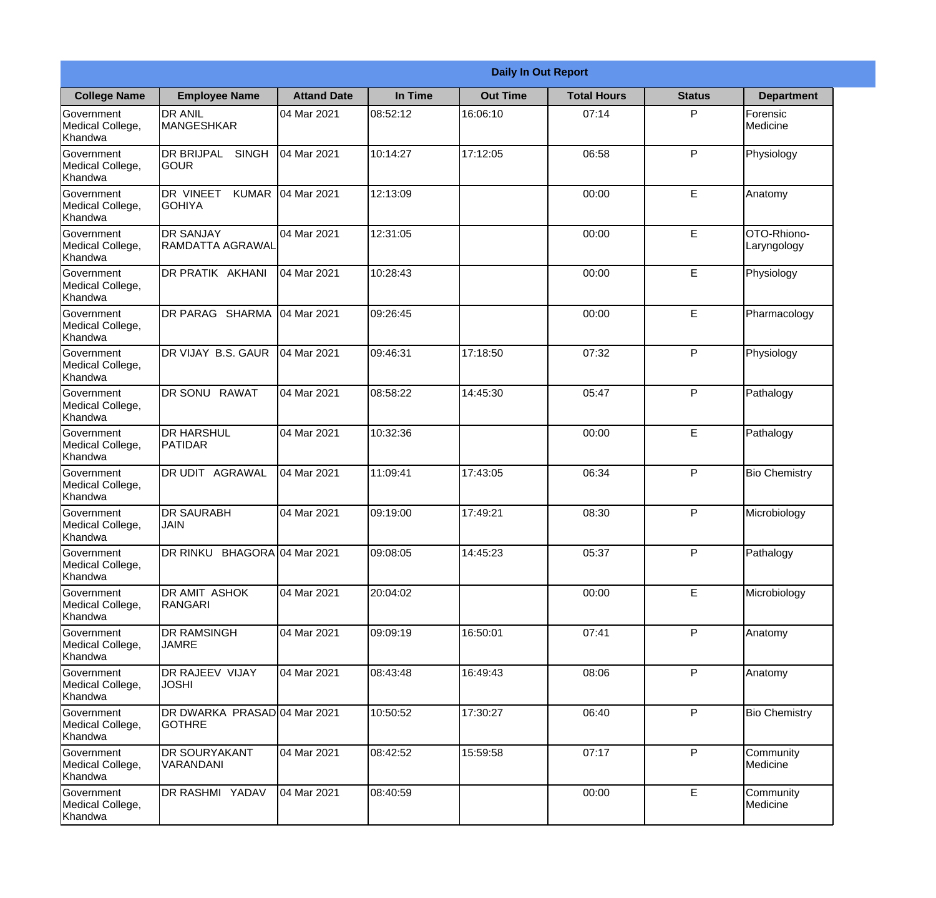| <b>Daily In Out Report</b>                       |                                                     |                    |          |                 |                    |               |                            |  |  |
|--------------------------------------------------|-----------------------------------------------------|--------------------|----------|-----------------|--------------------|---------------|----------------------------|--|--|
| <b>College Name</b>                              | <b>Employee Name</b>                                | <b>Attand Date</b> | In Time  | <b>Out Time</b> | <b>Total Hours</b> | <b>Status</b> | <b>Department</b>          |  |  |
| Government<br>Medical College,<br>Khandwa        | <b>DR ANIL</b><br><b>MANGESHKAR</b>                 | 04 Mar 2021        | 08:52:12 | 16:06:10        | 07:14              | P             | Forensic<br>Medicine       |  |  |
| Government<br>Medical College,<br>Khandwa        | <b>DR BRIJPAL</b><br><b>SINGH</b><br> GOUR          | 04 Mar 2021        | 10:14:27 | 17:12:05        | 06:58              | P             | Physiology                 |  |  |
| <b>Government</b><br>Medical College,<br>Khandwa | <b>DR VINEET</b><br><b>KUMAR</b><br><b>I</b> GOHIYA | 04 Mar 2021        | 12:13:09 |                 | 00:00              | E             | Anatomy                    |  |  |
| Government<br>Medical College,<br>Khandwa        | <b>DR SANJAY</b><br><b>RAMDATTA AGRAWAL</b>         | 04 Mar 2021        | 12:31:05 |                 | 00:00              | E             | OTO-Rhiono-<br>Laryngology |  |  |
| Government<br>Medical College,<br>Khandwa        | <b>DR PRATIK AKHANI</b>                             | 04 Mar 2021        | 10:28:43 |                 | 00:00              | E             | Physiology                 |  |  |
| Government<br>Medical College,<br>Khandwa        | DR PARAG SHARMA                                     | 04 Mar 2021        | 09:26:45 |                 | 00:00              | E             | Pharmacology               |  |  |
| Government<br>Medical College,<br>Khandwa        | <b>IDR VIJAY B.S. GAUR</b>                          | 04 Mar 2021        | 09:46:31 | 17:18:50        | 07:32              | P             | Physiology                 |  |  |
| Government<br>Medical College,<br>Khandwa        | DR SONU RAWAT                                       | 04 Mar 2021        | 08:58:22 | 14:45:30        | 05:47              | P             | Pathalogy                  |  |  |
| Government<br>Medical College,<br>Khandwa        | <b>DR HARSHUL</b><br>PATIDAR                        | 04 Mar 2021        | 10:32:36 |                 | 00:00              | E             | Pathalogy                  |  |  |
| Government<br>Medical College,<br>Khandwa        | DR UDIT<br><b>AGRAWAL</b>                           | 04 Mar 2021        | 11:09:41 | 17:43:05        | 06:34              | P             | <b>Bio Chemistry</b>       |  |  |
| Government<br>Medical College,<br>Khandwa        | <b>IDR SAURABH</b><br><b>JAIN</b>                   | 04 Mar 2021        | 09:19:00 | 17:49:21        | 08:30              | $\mathsf{P}$  | Microbiology               |  |  |
| Government<br>Medical College,<br>Khandwa        | DR RINKU BHAGORA 04 Mar 2021                        |                    | 09:08:05 | 14:45:23        | 05:37              | P             | Pathalogy                  |  |  |
| Government<br>Medical College,<br>Khandwa        | DR AMIT ASHOK<br>RANGARI                            | 04 Mar 2021        | 20:04:02 |                 | 00:00              | E             | Microbiology               |  |  |
| Government<br>Medical College,<br>Khandwa        | <b>DR RAMSINGH</b><br><b>JAMRE</b>                  | 04 Mar 2021        | 09:09:19 | 16:50:01        | 07:41              | P             | Anatomy                    |  |  |
| Government<br>Medical College,<br>Khandwa        | <b>DR RAJEEV VIJAY</b><br><b>JOSHI</b>              | 04 Mar 2021        | 08:43:48 | 16:49:43        | 08:06              | P             | Anatomy                    |  |  |
| Government<br>Medical College,<br>Khandwa        | DR DWARKA PRASAD 04 Mar 2021<br><b>GOTHRE</b>       |                    | 10:50:52 | 17:30:27        | 06:40              | P             | <b>Bio Chemistry</b>       |  |  |
| Government<br>Medical College,<br>Khandwa        | <b>DR SOURYAKANT</b><br>VARANDANI                   | 04 Mar 2021        | 08:42:52 | 15:59:58        | 07:17              | P             | Community<br>Medicine      |  |  |
| Government<br>Medical College,<br>Khandwa        | DR RASHMI YADAV                                     | 04 Mar 2021        | 08:40:59 |                 | 00:00              | E             | Community<br>Medicine      |  |  |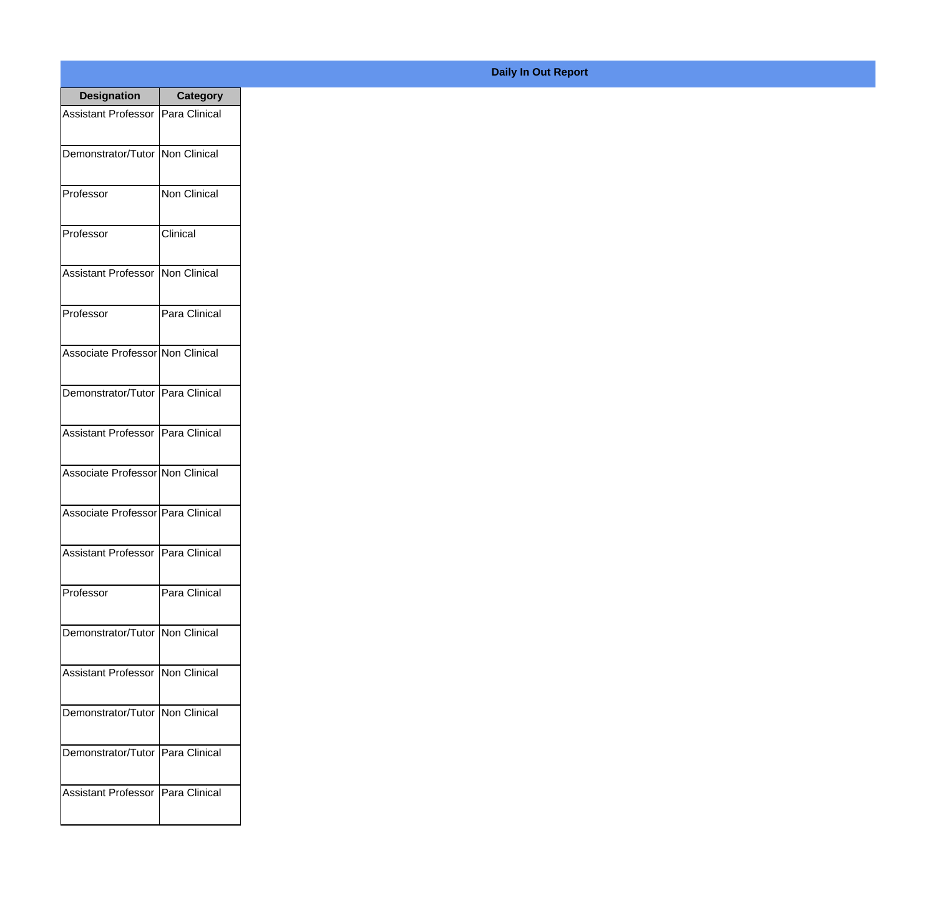| <b>Designation</b>                  | <b>Category</b> |
|-------------------------------------|-----------------|
| Assistant Professor   Para Clinical |                 |
| Demonstrator/Tutor   Non Clinical   |                 |
| Professor                           | Non Clinical    |
| Professor                           | Clinical        |
| <b>Assistant Professor</b>          | Non Clinical    |
| Professor                           | Para Clinical   |
| Associate Professor Non Clinical    |                 |
| Demonstrator/Tutor   Para Clinical  |                 |
| Assistant Professor   Para Clinical |                 |
| Associate Professor Non Clinical    |                 |
| Associate Professor   Para Clinical |                 |
| Assistant Professor   Para Clinical |                 |
| Professor                           | Para Clinical   |
| Demonstrator/Tutor   Non Clinical   |                 |
| <b>Assistant Professor</b>          | Non Clinical    |
| Demonstrator/Tutor   Non Clinical   |                 |
| Demonstrator/Tutor   Para Clinical  |                 |
| Assistant Professor   Para Clinical |                 |

## **Daily In Out Report**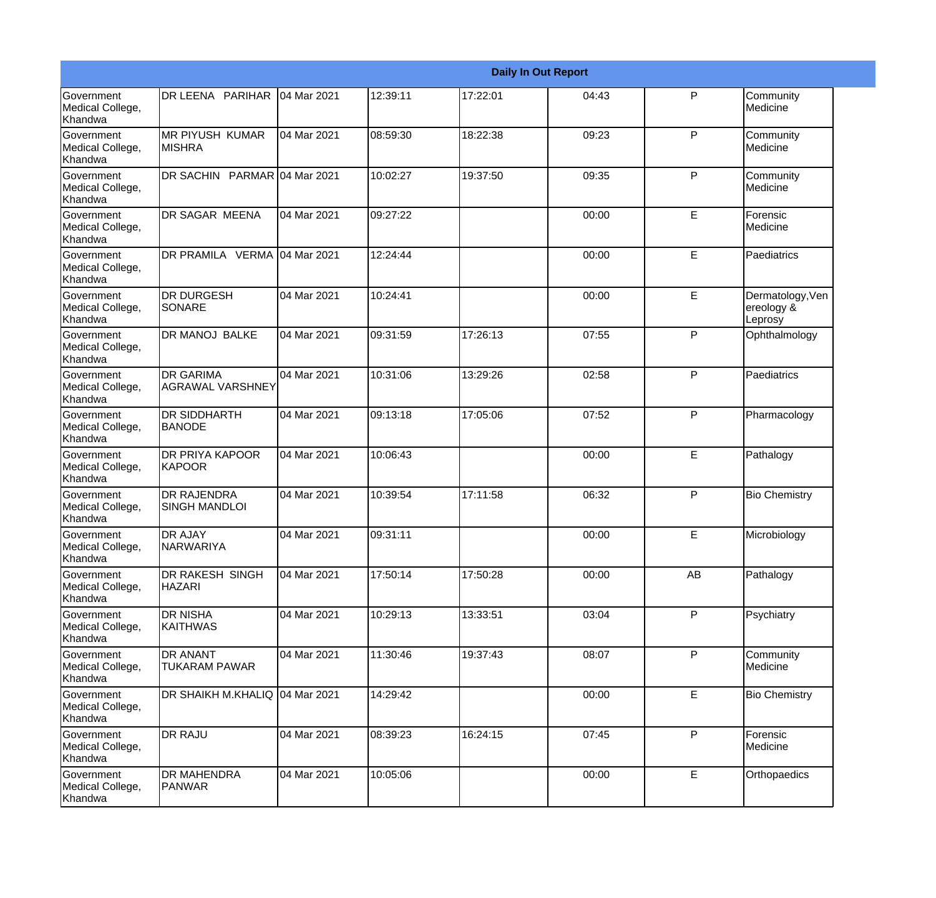|                                                  |                                             | <b>Daily In Out Report</b> |          |          |       |              |                                           |  |
|--------------------------------------------------|---------------------------------------------|----------------------------|----------|----------|-------|--------------|-------------------------------------------|--|
| <b>Government</b><br>Medical College,<br>Khandwa | DR LEENA PARIHAR                            | 04 Mar 2021                | 12:39:11 | 17:22:01 | 04:43 | P            | Community<br>Medicine                     |  |
| Government<br>Medical College,<br>Khandwa        | <b>MR PIYUSH KUMAR</b><br>IMISHRA           | 04 Mar 2021                | 08:59:30 | 18:22:38 | 09:23 | P            | Community<br>Medicine                     |  |
| <b>Government</b><br>Medical College,<br>Khandwa | DR SACHIN PARMAR 04 Mar 2021                |                            | 10:02:27 | 19:37:50 | 09:35 | P            | Community<br>Medicine                     |  |
| <b>Government</b><br>Medical College,<br>Khandwa | <b>DR SAGAR MEENA</b>                       | 04 Mar 2021                | 09:27:22 |          | 00:00 | E            | Forensic<br>Medicine                      |  |
| Government<br>Medical College,<br>Khandwa        | DR PRAMILA VERMA 04 Mar 2021                |                            | 12:24:44 |          | 00:00 | E            | Paediatrics                               |  |
| Government<br>Medical College,<br>Khandwa        | <b>DR DURGESH</b><br>SONARE                 | 04 Mar 2021                | 10:24:41 |          | 00:00 | E            | Dermatology, Ven<br>ereology &<br>Leprosy |  |
| Government<br>Medical College,<br>Khandwa        | <b>DR MANOJ BALKE</b>                       | 04 Mar 2021                | 09:31:59 | 17:26:13 | 07:55 | P            | Ophthalmology                             |  |
| Government<br>Medical College,<br>Khandwa        | <b>DR GARIMA</b><br><b>AGRAWAL VARSHNEY</b> | 04 Mar 2021                | 10:31:06 | 13:29:26 | 02:58 | $\mathsf{P}$ | Paediatrics                               |  |
| Government<br>Medical College,<br>Khandwa        | <b>DR SIDDHARTH</b><br><b>BANODE</b>        | 04 Mar 2021                | 09:13:18 | 17:05:06 | 07:52 | P            | Pharmacology                              |  |
| <b>Government</b><br>Medical College,<br>Khandwa | <b>DR PRIYA KAPOOR</b><br>KAPOOR            | 04 Mar 2021                | 10:06:43 |          | 00:00 | E            | Pathalogy                                 |  |
| <b>Government</b><br>Medical College,<br>Khandwa | <b>DR RAJENDRA</b><br><b>SINGH MANDLOI</b>  | 04 Mar 2021                | 10:39:54 | 17:11:58 | 06:32 | P            | <b>Bio Chemistry</b>                      |  |
| Government<br>Medical College,<br>Khandwa        | <b>DR AJAY</b><br><b>NARWARIYA</b>          | 04 Mar 2021                | 09:31:11 |          | 00:00 | E            | Microbiology                              |  |
| Government<br>Medical College,<br>Khandwa        | DR RAKESH SINGH<br><b>HAZARI</b>            | 04 Mar 2021                | 17:50:14 | 17:50:28 | 00:00 | AB           | Pathalogy                                 |  |
| Government<br>Medical College,<br>Khandwa        | <b>DR NISHA</b><br><b>KAITHWAS</b>          | 04 Mar 2021                | 10:29:13 | 13:33:51 | 03:04 | $\mathsf{P}$ | Psychiatry                                |  |
| Government<br>Medical College,<br>Khandwa        | <b>DR ANANT</b><br><b>TUKARAM PAWAR</b>     | 04 Mar 2021                | 11:30:46 | 19:37:43 | 08:07 | P            | Community<br>Medicine                     |  |
| Government<br>Medical College,<br>Khandwa        | DR SHAIKH M.KHALIQ 04 Mar 2021              |                            | 14:29:42 |          | 00:00 | E            | <b>Bio Chemistry</b>                      |  |
| Government<br>Medical College,<br>Khandwa        | <b>DR RAJU</b>                              | 04 Mar 2021                | 08:39:23 | 16:24:15 | 07:45 | $\mathsf{P}$ | Forensic<br>Medicine                      |  |
| Government<br>Medical College,<br>Khandwa        | <b>DR MAHENDRA</b><br>PANWAR                | 04 Mar 2021                | 10:05:06 |          | 00:00 | E            | Orthopaedics                              |  |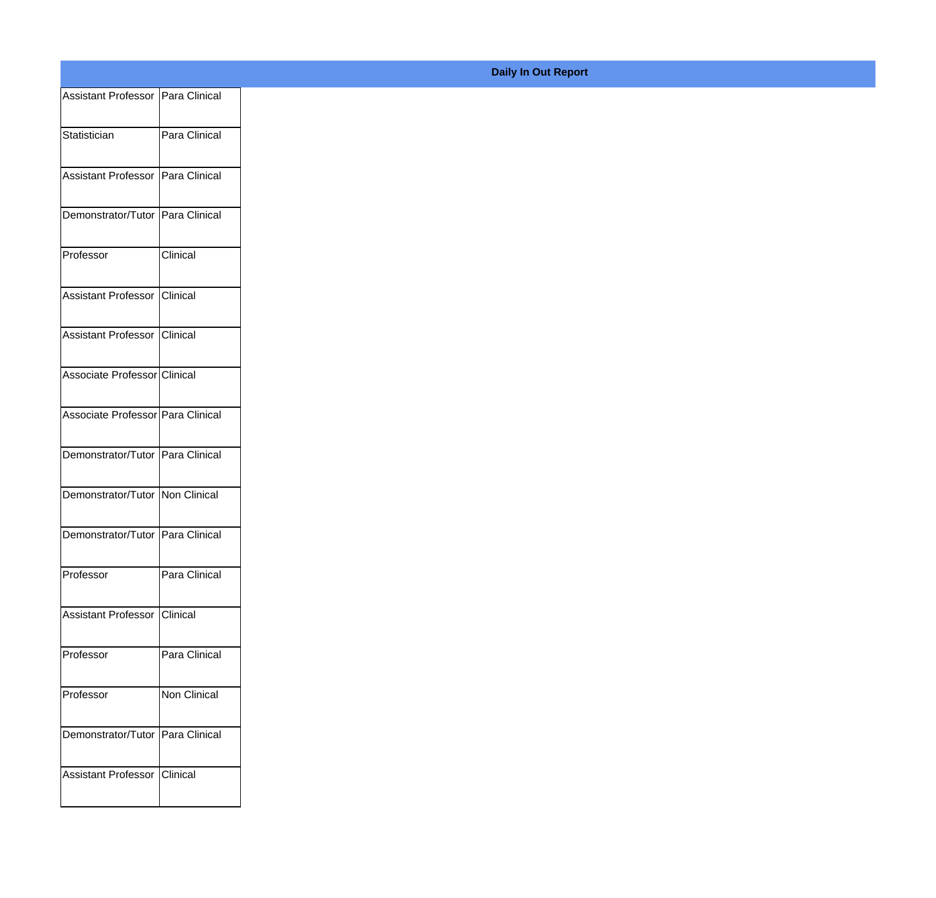| Assistant Professor Para Clinical |               |
|-----------------------------------|---------------|
| Statistician                      | Para Clinical |
|                                   |               |
| Assistant Professor Para Clinical |               |
| Demonstrator/Tutor Para Clinical  |               |
| Professor                         | Clinical      |
| Assistant Professor Clinical      |               |
| Assistant Professor Clinical      |               |
| Associate Professor Clinical      |               |
| Associate Professor Para Clinical |               |
| Demonstrator/Tutor Para Clinical  |               |
| Demonstrator/Tutor Non Clinical   |               |
| Demonstrator/Tutor Para Clinical  |               |
|                                   |               |
| Professor                         | Para Clinical |
| Assistant Professor Clinical      |               |
| Professor                         | Para Clinical |
| Professor                         | Non Clinical  |
| Demonstrator/Tutor Para Clinical  |               |
| Assistant Professor Clinical      |               |
|                                   |               |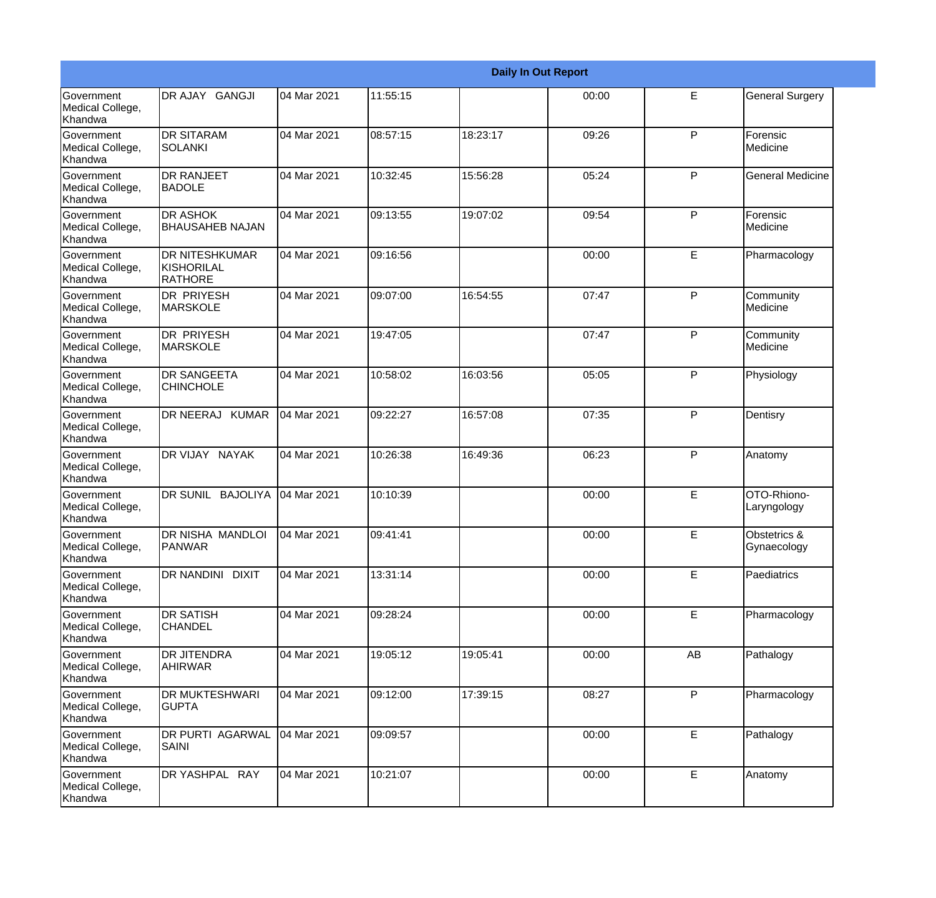|                                           |                                                | <b>Daily In Out Report</b> |          |          |       |    |                             |  |
|-------------------------------------------|------------------------------------------------|----------------------------|----------|----------|-------|----|-----------------------------|--|
| Government<br>Medical College,<br>Khandwa | DR AJAY GANGJI                                 | 04 Mar 2021                | 11:55:15 |          | 00:00 | E  | <b>General Surgery</b>      |  |
| Government<br>Medical College,<br>Khandwa | <b>DR SITARAM</b><br>ISOLANKI                  | 04 Mar 2021                | 08:57:15 | 18:23:17 | 09:26 | P  | Forensic<br>Medicine        |  |
| Government<br>Medical College,<br>Khandwa | <b>DR RANJEET</b><br><b>BADOLE</b>             | 04 Mar 2021                | 10:32:45 | 15:56:28 | 05:24 | P  | <b>General Medicine</b>     |  |
| Government<br>Medical College,<br>Khandwa | <b>DR ASHOK</b><br><b>BHAUSAHEB NAJAN</b>      | 04 Mar 2021                | 09:13:55 | 19:07:02 | 09:54 | P  | Forensic<br>Medicine        |  |
| Government<br>Medical College,<br>Khandwa | <b>DR NITESHKUMAR</b><br>KISHORILAL<br>RATHORE | 04 Mar 2021                | 09:16:56 |          | 00:00 | E  | Pharmacology                |  |
| Government<br>Medical College,<br>Khandwa | <b>DR PRIYESH</b><br><b>MARSKOLE</b>           | 04 Mar 2021                | 09:07:00 | 16:54:55 | 07:47 | P  | Community<br>Medicine       |  |
| Government<br>Medical College,<br>Khandwa | <b>DR PRIYESH</b><br><b>MARSKOLE</b>           | 04 Mar 2021                | 19:47:05 |          | 07:47 | P  | Community<br>Medicine       |  |
| Government<br>Medical College,<br>Khandwa | <b>DR SANGEETA</b><br><b>CHINCHOLE</b>         | 04 Mar 2021                | 10:58:02 | 16:03:56 | 05:05 | P  | Physiology                  |  |
| Government<br>Medical College,<br>Khandwa | DR NEERAJ KUMAR                                | 04 Mar 2021                | 09:22:27 | 16:57:08 | 07:35 | P  | Dentisry                    |  |
| Government<br>Medical College,<br>Khandwa | DR VIJAY NAYAK                                 | 04 Mar 2021                | 10:26:38 | 16:49:36 | 06:23 | P  | Anatomy                     |  |
| Government<br>Medical College,<br>Khandwa | DR SUNIL BAJOLIYA                              | 04 Mar 2021                | 10:10:39 |          | 00:00 | E  | OTO-Rhiono-<br>Laryngology  |  |
| Government<br>Medical College,<br>Khandwa | <b>DR NISHA MANDLOI</b><br><b>PANWAR</b>       | 04 Mar 2021                | 09:41:41 |          | 00:00 | E  | Obstetrics &<br>Gynaecology |  |
| Government<br>Medical College,<br>Khandwa | DR NANDINI DIXIT                               | 04 Mar 2021                | 13:31:14 |          | 00:00 | E. | Paediatrics                 |  |
| Government<br>Medical College,<br>Khandwa | <b>DR SATISH</b><br><b>CHANDEL</b>             | 04 Mar 2021                | 09:28:24 |          | 00:00 | E  | Pharmacology                |  |
| Government<br>Medical College,<br>Khandwa | <b>DR JITENDRA</b><br><b>AHIRWAR</b>           | 04 Mar 2021                | 19:05:12 | 19:05:41 | 00:00 | AB | Pathalogy                   |  |
| Government<br>Medical College,<br>Khandwa | <b>DR MUKTESHWARI</b><br><b>GUPTA</b>          | 04 Mar 2021                | 09:12:00 | 17:39:15 | 08:27 | P  | Pharmacology                |  |
| Government<br>Medical College,<br>Khandwa | DR PURTI AGARWAL<br>SAINI                      | 04 Mar 2021                | 09:09:57 |          | 00:00 | E  | Pathalogy                   |  |
| Government<br>Medical College,<br>Khandwa | DR YASHPAL RAY                                 | 04 Mar 2021                | 10:21:07 |          | 00:00 | E  | Anatomy                     |  |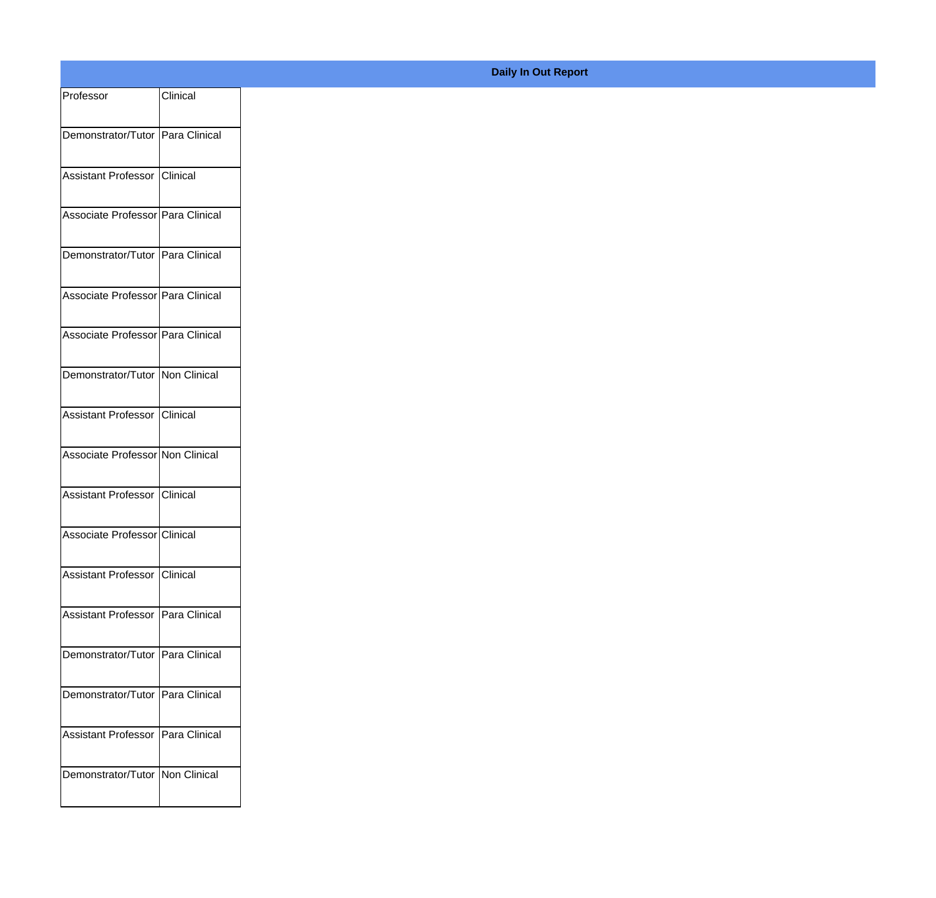| Professor                           | Clinical |
|-------------------------------------|----------|
| Demonstrator/Tutor Para Clinical    |          |
|                                     |          |
| Assistant Professor Clinical        |          |
| Associate Professor Para Clinical   |          |
| Demonstrator/Tutor Para Clinical    |          |
| Associate Professor Para Clinical   |          |
| Associate Professor Para Clinical   |          |
| Demonstrator/Tutor Non Clinical     |          |
| Assistant Professor Clinical        |          |
| Associate Professor Non Clinical    |          |
| Assistant Professor   Clinical      |          |
| Associate Professor Clinical        |          |
| Assistant Professor Clinical        |          |
| Assistant Professor   Para Clinical |          |
| Demonstrator/Tutor   Para Clinical  |          |
|                                     |          |
| Demonstrator/Tutor Para Clinical    |          |
| Assistant Professor   Para Clinical |          |
| Demonstrator/Tutor   Non Clinical   |          |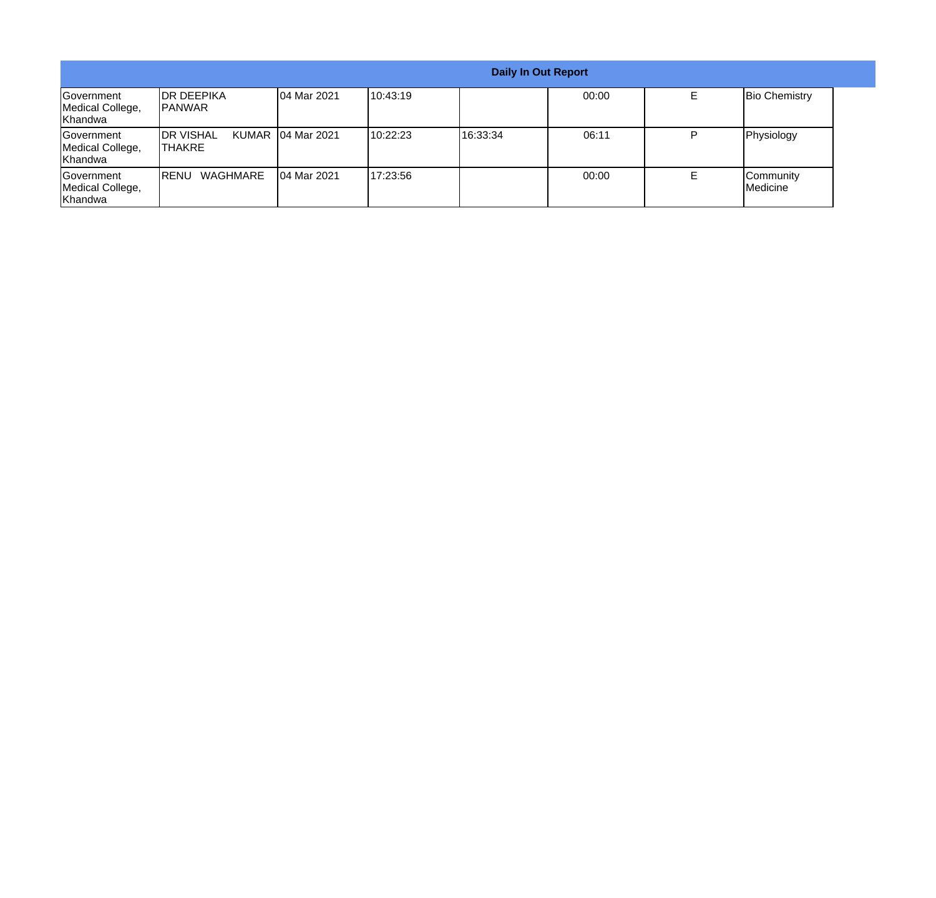|                                                  |                                      |                   |          | <b>Daily In Out Report</b> |       |                       |
|--------------------------------------------------|--------------------------------------|-------------------|----------|----------------------------|-------|-----------------------|
| Government<br>Medical College,<br>Khandwa        | <b>IDR DEEPIKA</b><br><b>IPANWAR</b> | 04 Mar 2021       | 10:43:19 |                            | 00:00 | <b>Bio Chemistry</b>  |
| Government<br>Medical College,<br><b>Khandwa</b> | <b>IDR VISHAL</b><br>ITHAKRE         | KUMAR 04 Mar 2021 | 10:22:23 | 16:33:34                   | 06:11 | Physiology            |
| Government<br>Medical College,<br>Khandwa        | WAGHMARE<br><b>IRENU</b>             | 104 Mar 2021      | 17:23:56 |                            | 00:00 | Community<br>Medicine |